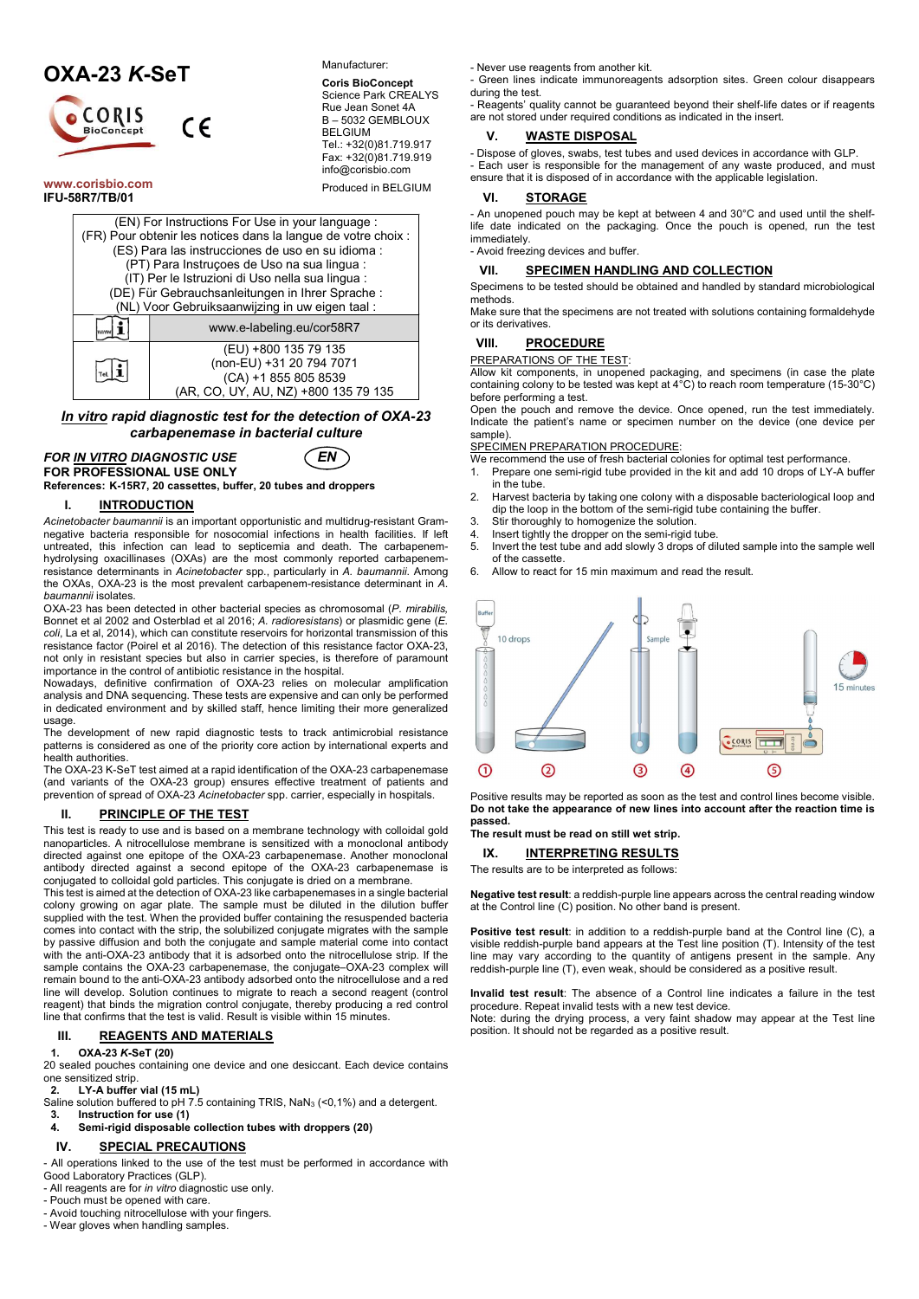# OXA-23 K-SeT



www.corisbio.com IFU-58R7/TB/01

Manufacturer:

Coris BioConcept Science Park CREALYS Rue Jean Sonet 4A B – 5032 GEMBLOUX BELGIUM Tel.: +32(0)81.719.917 Fax: +32(0)81.719.919 info@corisbio.com

Produced in BELGIUM

|                                                   | (EN) For Instructions For Use in your language :<br>(FR) Pour obtenir les notices dans la langue de votre choix : |  |  |  |
|---------------------------------------------------|-------------------------------------------------------------------------------------------------------------------|--|--|--|
| (ES) Para las instrucciones de uso en su idioma : |                                                                                                                   |  |  |  |
| (PT) Para Instruçoes de Uso na sua lingua :       |                                                                                                                   |  |  |  |
|                                                   |                                                                                                                   |  |  |  |
| (IT) Per le Istruzioni di Uso nella sua lingua :  |                                                                                                                   |  |  |  |
| (DE) Für Gebrauchsanleitungen in Ihrer Sprache:   |                                                                                                                   |  |  |  |
| (NL) Voor Gebruiksaanwijzing in uw eigen taal:    |                                                                                                                   |  |  |  |
|                                                   | www.e-labeling.eu/cor58R7                                                                                         |  |  |  |
|                                                   | (EU) +800 135 79 135                                                                                              |  |  |  |
|                                                   | (non-EU) +31 20 794 7071                                                                                          |  |  |  |
|                                                   | (CA) +1 855 805 8539                                                                                              |  |  |  |
|                                                   | (AR, CO, UY, AU, NZ) +800 135 79 135                                                                              |  |  |  |

In vitro rapid diagnostic test for the detection of OXA-23 carbapenemase in bacterial culture

FOR <u>IN VITRO</u> DIAGNOSTIC USE **EN** FOR PROFESSIONAL USE ONLY



References: K-15R7, 20 cassettes, buffer, 20 tubes and droppers

# I. **INTRODUCTION**

Acinetobacter baumannii is an important opportunistic and multidrug-resistant Gramnegative bacteria responsible for nosocomial infections in health facilities. If left untreated, this infection can lead to septicemia and death. The carbapenemhydrolysing oxacillinases (OXAs) are the most commonly reported carbapenemresistance determinants in Acinetobacter spp., particularly in A. baumannii. Among the OXAs, OXA-23 is the most prevalent carbapenem-resistance determinant in A. baumannii isolates.

OXA-23 has been detected in other bacterial species as chromosomal (P. mirabilis, Bonnet et al 2002 and Osterblad et al 2016; A. radioresistans) or plasmidic gene (E. coli, La et al, 2014), which can constitute reservoirs for horizontal transmission of this resistance factor (Poirel et al 2016). The detection of this resistance factor OXA-23, not only in resistant species but also in carrier species, is therefore of paramount importance in the control of antibiotic resistance in the hospital.

Nowadays, definitive confirmation of OXA-23 relies on molecular amplification analysis and DNA sequencing. These tests are expensive and can only be performed in dedicated environment and by skilled staff, hence limiting their more generalized usage

The development of new rapid diagnostic tests to track antimicrobial resistance patterns is considered as one of the priority core action by international experts and health authorities.

The OXA-23 K-SeT test aimed at a rapid identification of the OXA-23 carbapenemase (and variants of the OXA-23 group) ensures effective treatment of patients and prevention of spread of OXA-23 Acinetobacter spp. carrier, especially in hospitals.

# II. PRINCIPLE OF THE TEST

This test is ready to use and is based on a membrane technology with colloidal gold nanoparticles. A nitrocellulose membrane is sensitized with a monoclonal antibody directed against one epitope of the OXA-23 carbapenemase. Another monoclonal antibody directed against a second epitope of the OXA-23 carbapenemase is conjugated to colloidal gold particles. This conjugate is dried on a membrane.

This test is aimed at the detection of OXA-23 like carbapenemases in a single bacterial colony growing on agar plate. The sample must be diluted in the dilution buffer supplied with the test. When the provided buffer containing the resuspended bacteria comes into contact with the strip, the solubilized conjugate migrates with the sample by passive diffusion and both the conjugate and sample material come into contact with the anti-OXA-23 antibody that it is adsorbed onto the nitrocellulose strip. If the sample contains the OXA-23 carbapenemase, the conjugate–OXA-23 complex will remain bound to the anti-OXA-23 antibody adsorbed onto the nitrocellulose and a red line will develop. Solution continues to migrate to reach a second reagent (control reagent) that binds the migration control conjugate, thereby producing a red control line that confirms that the test is valid. Result is visible within 15 minutes.

# III. REAGENTS AND MATERIALS

# 1. OXA-23 K-SeT (20)

20 sealed pouches containing one device and one desiccant. Each device contains one sensitized strip.

2. LY-A buffer vial (15 mL)

Saline solution buffered to pH 7.5 containing TRIS, NaN<sub>3</sub> (<0,1%) and a detergent.

- 3. Instruction for use (1)
- 4. Semi-rigid disposable collection tubes with droppers (20)

# IV. SPECIAL PRECAUTIONS

- All operations linked to the use of the test must be performed in accordance with

- Good Laboratory Practices (GLP).
- All reagents are for in vitro diagnostic use only.
- Pouch must be opened with care.
- Avoid touching nitrocellulose with your fingers. - Wear gloves when handling samples.
- 

- Never use reagents from another kit.

- Green lines indicate immunoreagents adsorption sites. Green colour disappears during the test.

- Reagents' quality cannot be guaranteed beyond their shelf-life dates or if reagents are not stored under required conditions as indicated in the insert.

## V. WASTE DISPOSAL

- Dispose of gloves, swabs, test tubes and used devices in accordance with GLP.

- Each user is responsible for the management of any waste produced, and must ensure that it is disposed of in accordance with the applicable legislation.

# VI. STORAGE

- An unopened pouch may be kept at between 4 and 30°C and used until the shelflife date indicated on the packaging. Once the pouch is opened, run the test immediately.

- Avoid freezing devices and buffer.

#### VII. SPECIMEN HANDLING AND COLLECTION

Specimens to be tested should be obtained and handled by standard microbiological methods. Make sure that the specimens are not treated with solutions containing formaldehyde

# VIII. PROCEDURE

or its derivatives.

PREPARATIONS OF THE TEST:

Allow kit components, in unopened packaging, and specimens (in case the plate containing colony to be tested was kept at 4°C) to reach room temperature (15-30°C) before performing a test.

Open the pouch and remove the device. Once opened, run the test immediately. Indicate the patient's name or specimen number on the device (one device per sample).

#### SPECIMEN PREPARATION PROCEDURE:

- We recommend the use of fresh bacterial colonies for optimal test performance.<br>1. Prepare one semi-rigid tube provided in the kit and add 10 drops of LY-A t
- 1. Prepare one semi-rigid tube provided in the kit and add 10 drops of LY-A buffer in the tube.
- 2. Harvest bacteria by taking one colony with a disposable bacteriological loop and dip the loop in the bottom of the semi-rigid tube containing the buffer.
- 3. Stir thoroughly to homogenize the solution.
- 4. Insert tightly the dropper on the semi-rigid tube.
- 5. Invert the test tube and add slowly 3 drops of diluted sample into the sample well of the cassette.
- 6. Allow to react for 15 min maximum and read the result.



Positive results may be reported as soon as the test and control lines become visible. Do not take the appearance of new lines into account after the reaction time is passed.

# The result must be read on still wet strip.

IX. **INTERPRETING RESULTS** 

The results are to be interpreted as follows:

Negative test result: a reddish-purple line appears across the central reading window at the Control line (C) position. No other band is present.

Positive test result: in addition to a reddish-purple band at the Control line (C), a visible reddish-purple band appears at the Test line position (T). Intensity of the test line may vary according to the quantity of antigens present in the sample. Any reddish-purple line (T), even weak, should be considered as a positive result.

Invalid test result: The absence of a Control line indicates a failure in the test procedure. Repeat invalid tests with a new test device.

Note: during the drying process, a very faint shadow may appear at the Test line position. It should not be regarded as a positive result.